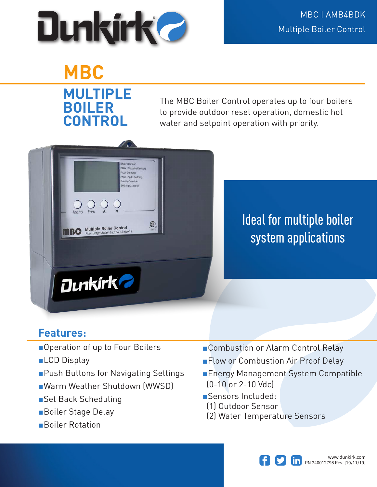

## **MBC MULTIPLE BOILER CONTROL**

The MBC Boiler Control operates up to four boilers to provide outdoor reset operation, domestic hot water and setpoint operation with priority.



Ideal for multiple boiler system applications

## **Features:**

- ■Operation of up to Four Boilers
- ■LCD Display
- ■Push Buttons for Navigating Settings
- ■Warm Weather Shutdown (WWSD)
- ■Set Back Scheduling
- ■Boiler Stage Delay
- ■Boiler Rotation
- ■Combustion or Alarm Control Relay
- ■Flow or Combustion Air Proof Delay
- ■Energy Management System Compatible (0-10 or 2-10 Vdc)
- ■Sensors Included:
- (1) Outdoor Sensor
- (2) Water Temperature Sensors